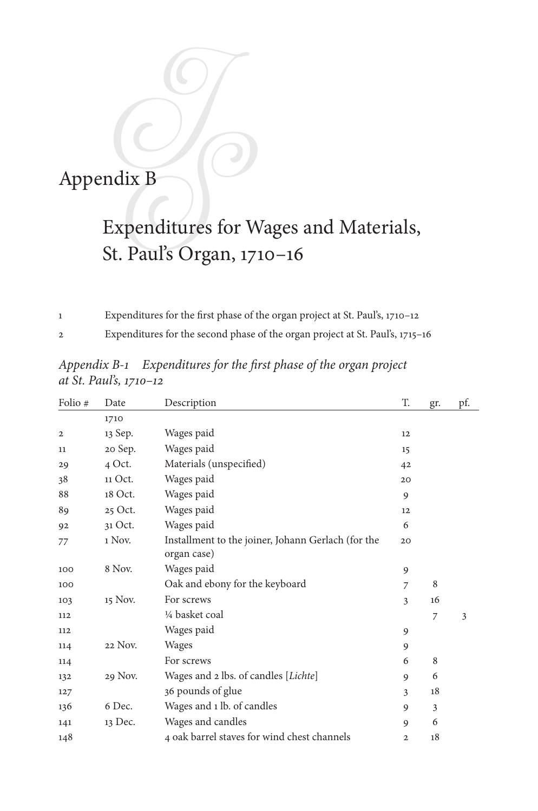## Appendix B

## Expenditures for Wages and Materials, St. Paul's Organ, 1710–16

Expenditures for the first phase of the organ project at St. Paul's, 1710–12

Expenditures for the second phase of the organ project at St. Paul's, 1715–16

| Folio #        | Date    | Description                                        | T.           | gr.            | pf. |
|----------------|---------|----------------------------------------------------|--------------|----------------|-----|
|                | 1710    |                                                    |              |                |     |
| $\overline{2}$ | 13 Sep. | Wages paid                                         | 12           |                |     |
| 11             | 20 Sep. | Wages paid                                         | 15           |                |     |
| 29             | 4 Oct.  | Materials (unspecified)                            | 42           |                |     |
| 38             | 11 Oct. | Wages paid                                         | 20           |                |     |
| 88             | 18 Oct. | Wages paid                                         | 9            |                |     |
| 89             | 25 Oct. | Wages paid                                         | 12           |                |     |
| 92             | 31 Oct. | Wages paid                                         | 6            |                |     |
| 77             | 1 Nov.  | Installment to the joiner, Johann Gerlach (for the | 20           |                |     |
|                |         | organ case)                                        |              |                |     |
| 100            | 8 Nov.  | Wages paid                                         | 9            |                |     |
| 100            |         | Oak and ebony for the keyboard                     | 7            | 8              |     |
| 103            | 15 Nov. | For screws                                         | 3            | 16             |     |
| 112            |         | 1/4 basket coal                                    |              | $\overline{7}$ | 3   |
| 112            |         | Wages paid                                         | 9            |                |     |
| 114            | 22 Nov. | Wages                                              | 9            |                |     |
| 114            |         | For screws                                         | 6            | 8              |     |
| 132            | 29 Nov. | Wages and 2 lbs. of candles [Lichte]               | 9            | 6              |     |
| 127            |         | 36 pounds of glue                                  | 3            | 18             |     |
| 136            | 6 Dec.  | Wages and 1 lb. of candles                         | 9            | 3              |     |
| 141            | 13 Dec. | Wages and candles                                  | 9            | 6              |     |
| 148            |         | 4 oak barrel staves for wind chest channels        | $\mathbf{2}$ | 18             |     |

*Appendix B-1 Expenditures for the first phase of the organ project at St. Paul's, 1710–12*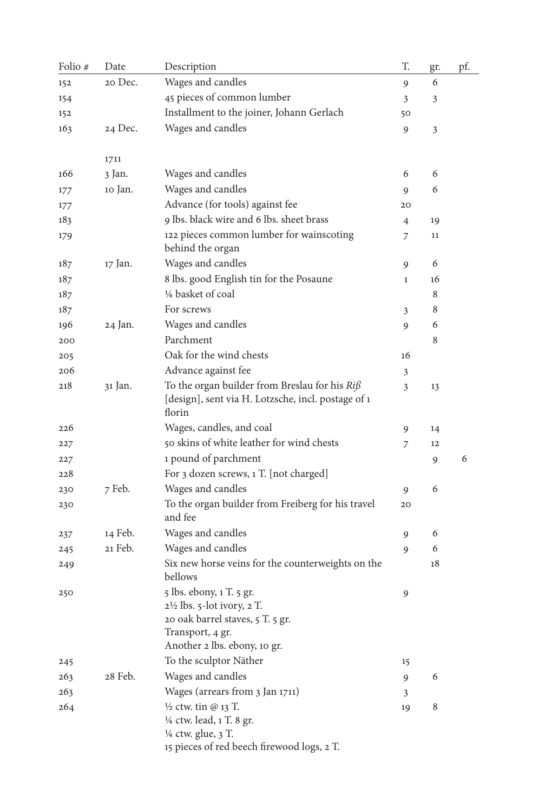| Folio # | Date    | Description                                                                                                                      | T. | gr. | pf. |
|---------|---------|----------------------------------------------------------------------------------------------------------------------------------|----|-----|-----|
| 152     | 20 Dec. | Wages and candles                                                                                                                | 9  | 6   |     |
| 154     |         | 45 pieces of common lumber                                                                                                       | 3  | 3   |     |
| 152     |         | Installment to the joiner, Johann Gerlach                                                                                        | 50 |     |     |
| 163     | 24 Dec. | Wages and candles                                                                                                                | 9  | 3   |     |
|         |         |                                                                                                                                  |    |     |     |
|         | 1711    |                                                                                                                                  |    |     |     |
| 166     | 3 Jan.  | Wages and candles                                                                                                                | 6  | 6   |     |
| 177     | 10 Jan. | Wages and candles                                                                                                                | 9  | 6   |     |
| 177     |         | Advance (for tools) against fee                                                                                                  | 20 |     |     |
| 183     |         | 9 lbs. black wire and 6 lbs. sheet brass                                                                                         | 4  | 19  |     |
| 179     |         | 122 pieces common lumber for wainscoting<br>behind the organ                                                                     | 7  | 11  |     |
| 187     | 17 Jan. | Wages and candles                                                                                                                | 9  | 6   |     |
| 187     |         | 8 lbs. good English tin for the Posaune                                                                                          | 1  | 16  |     |
| 187     |         | 1/4 basket of coal                                                                                                               |    | 8   |     |
| 187     |         | For screws                                                                                                                       | 3  | 8   |     |
| 196     | 24 Jan. | Wages and candles                                                                                                                | 9  | 6   |     |
| 200     |         | Parchment                                                                                                                        |    | 8   |     |
| 205     |         | Oak for the wind chests                                                                                                          | 16 |     |     |
| 206     |         | Advance against fee                                                                                                              | 3  |     |     |
| 218     | 31 Jan. | To the organ builder from Breslau for his $Rij\$<br>[design], sent via H. Lotzsche, incl. postage of 1<br>florin                 | 3  | 13  |     |
| 226     |         | Wages, candles, and coal                                                                                                         | 9  | 14  |     |
| 227     |         | 50 skins of white leather for wind chests                                                                                        | 7  | 12  |     |
| 227     |         | 1 pound of parchment                                                                                                             |    | 9   | 6   |
| 228     |         | For 3 dozen screws, 1 T. [not charged]                                                                                           |    |     |     |
| 230     | 7 Feb.  | Wages and candles                                                                                                                | 9  | 6   |     |
| 230     |         | To the organ builder from Freiberg for his travel<br>and fee                                                                     | 20 |     |     |
| 237     | 14 Feb. | Wages and candles                                                                                                                | 9  | 6   |     |
| 245     | 21 Feb. | Wages and candles                                                                                                                | 9  | 6   |     |
| 249     |         | Six new horse veins for the counterweights on the<br>bellows                                                                     |    | 18  |     |
| 250     |         | 5 lbs. ebony, 1 T. 5 gr.<br>2½ lbs. 5-lot ivory, 2 T.<br>20 oak barrel staves, 5 T. 5 gr.                                        | 9  |     |     |
|         |         | Transport, 4 gr.<br>Another 2 lbs. ebony, 10 gr.                                                                                 |    |     |     |
| 245     |         | To the sculptor Näther                                                                                                           | 15 |     |     |
| 263     | 28 Feb. | Wages and candles                                                                                                                | 9  | 6   |     |
| 263     |         | Wages (arrears from 3 Jan 1711)                                                                                                  | 3  |     |     |
| 264     |         | $\frac{1}{2}$ ctw. tin @ 13 T.<br>1/4 ctw. lead, 1 T. 8 gr.<br>1/4 ctw. glue, 3 T.<br>15 pieces of red beech firewood logs, 2 T. | 19 | 8   |     |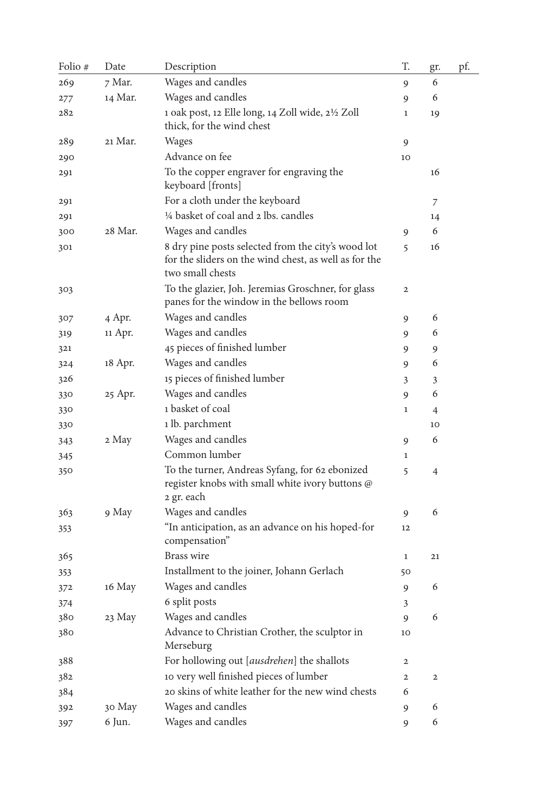| Folio # | Date    | Description                                                                                                                     | T.           | gr.            | pf. |
|---------|---------|---------------------------------------------------------------------------------------------------------------------------------|--------------|----------------|-----|
| 269     | 7 Mar.  | Wages and candles                                                                                                               | 9            | 6              |     |
| 277     | 14 Mar. | Wages and candles                                                                                                               | 9            | 6              |     |
| 282     |         | 1 oak post, 12 Elle long, 14 Zoll wide, 21/2 Zoll                                                                               | 1            | 19             |     |
|         |         | thick, for the wind chest                                                                                                       |              |                |     |
| 289     | 21 Mar. | Wages                                                                                                                           | 9            |                |     |
| 290     |         | Advance on fee                                                                                                                  | 10           |                |     |
| 291     |         | To the copper engraver for engraving the<br>keyboard [fronts]                                                                   |              | 16             |     |
| 291     |         | For a cloth under the keyboard                                                                                                  |              | 7              |     |
| 291     |         | 1/4 basket of coal and 2 lbs. candles                                                                                           |              | 14             |     |
| 300     | 28 Mar. | Wages and candles                                                                                                               | 9            | 6              |     |
| 301     |         | 8 dry pine posts selected from the city's wood lot<br>for the sliders on the wind chest, as well as for the<br>two small chests | 5            | 16             |     |
| 303     |         | To the glazier, Joh. Jeremias Groschner, for glass<br>panes for the window in the bellows room                                  | 2            |                |     |
| 307     | 4 Apr.  | Wages and candles                                                                                                               | 9            | 6              |     |
| 319     | 11 Apr. | Wages and candles                                                                                                               | 9            | 6              |     |
| 321     |         | 45 pieces of finished lumber                                                                                                    | 9            | 9              |     |
| 324     | 18 Apr. | Wages and candles                                                                                                               | 9            | 6              |     |
| 326     |         | 15 pieces of finished lumber                                                                                                    | 3            | 3              |     |
| 330     | 25 Apr. | Wages and candles                                                                                                               | 9            | 6              |     |
| 330     |         | 1 basket of coal                                                                                                                | 1            | $\overline{4}$ |     |
| 330     |         | 1 lb. parchment                                                                                                                 |              | 10             |     |
| 343     | 2 May   | Wages and candles                                                                                                               | 9            | 6              |     |
| 345     |         | Common lumber                                                                                                                   | 1            |                |     |
| 350     |         | To the turner, Andreas Syfang, for 62 ebonized<br>register knobs with small white ivory buttons @<br>2 gr. each                 | 5            | $\overline{4}$ |     |
| 363     | 9 May   | Wages and candles                                                                                                               | 9            | 6              |     |
| 353     |         | "In anticipation, as an advance on his hoped-for<br>compensation"                                                               | 12           |                |     |
| 365     |         | Brass wire                                                                                                                      | 1            | 21             |     |
| 353     |         | Installment to the joiner, Johann Gerlach                                                                                       | 50           |                |     |
| 372     | 16 May  | Wages and candles                                                                                                               | 9            | 6              |     |
| 374     |         | 6 split posts                                                                                                                   | 3            |                |     |
| 380     | 23 May  | Wages and candles                                                                                                               | 9            | 6              |     |
| 380     |         | Advance to Christian Crother, the sculptor in<br>Merseburg                                                                      | 10           |                |     |
| 388     |         | For hollowing out [ausdrehen] the shallots                                                                                      | 2            |                |     |
| 382     |         | 10 very well finished pieces of lumber                                                                                          | $\mathbf{2}$ | $\mathbf 2$    |     |
| 384     |         | 20 skins of white leather for the new wind chests                                                                               | 6            |                |     |
| 392     | 30 May  | Wages and candles                                                                                                               | 9            | 6              |     |
| 397     | 6 Jun.  | Wages and candles                                                                                                               | 9            | 6              |     |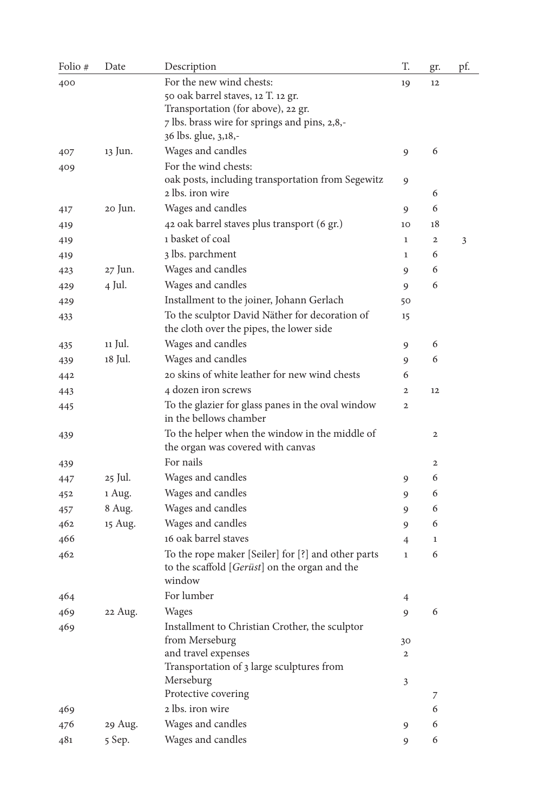| Folio # | Date    | Description                                                               | T.             | gr.          | pf. |
|---------|---------|---------------------------------------------------------------------------|----------------|--------------|-----|
| 400     |         | For the new wind chests:                                                  | 19             | 12           |     |
|         |         | 50 oak barrel staves, 12 T. 12 gr.                                        |                |              |     |
|         |         | Transportation (for above), 22 gr.                                        |                |              |     |
|         |         | 7 lbs. brass wire for springs and pins, 2,8,-                             |                |              |     |
|         | 13 Jun. | 36 lbs. glue, 3,18,-                                                      |                |              |     |
| 407     |         | Wages and candles                                                         | 9              | 6            |     |
| 409     |         | For the wind chests:<br>oak posts, including transportation from Segewitz |                |              |     |
|         |         | 2 lbs. iron wire                                                          | 9              | 6            |     |
| 417     | 20 Jun. | Wages and candles                                                         | 9              | 6            |     |
| 419     |         | 42 oak barrel staves plus transport (6 gr.)                               | 10             | 18           |     |
| 419     |         | 1 basket of coal                                                          | $\mathbf{1}$   | $\mathbf{2}$ | 3   |
| 419     |         | 3 lbs. parchment                                                          | $\mathbf{1}$   | 6            |     |
| 423     | 27 Jun. | Wages and candles                                                         | 9              | 6            |     |
| 429     | 4 Jul.  | Wages and candles                                                         | 9              | 6            |     |
| 429     |         | Installment to the joiner, Johann Gerlach                                 | 50             |              |     |
| 433     |         | To the sculptor David Näther for decoration of                            | 15             |              |     |
|         |         | the cloth over the pipes, the lower side                                  |                |              |     |
| 435     | 11 Jul. | Wages and candles                                                         | 9              | 6            |     |
| 439     | 18 Jul. | Wages and candles                                                         | 9              | 6            |     |
| 442     |         | 20 skins of white leather for new wind chests                             | 6              |              |     |
| 443     |         | 4 dozen iron screws                                                       | $\overline{2}$ | 12           |     |
| 445     |         | To the glazier for glass panes in the oval window                         | $\overline{2}$ |              |     |
|         |         | in the bellows chamber                                                    |                |              |     |
| 439     |         | To the helper when the window in the middle of                            |                | 2            |     |
|         |         | the organ was covered with canvas                                         |                |              |     |
| 439     |         | For nails                                                                 |                | $\mathbf{2}$ |     |
| 447     | 25 Jul. | Wages and candles                                                         | 9              | 6            |     |
| 452     | 1 Aug.  | Wages and candles                                                         | 9              | 6            |     |
| 457     | 8 Aug.  | Wages and candles                                                         | 9              | 6            |     |
| 462     | 15 Aug. | Wages and candles                                                         | 9              | 6            |     |
| 466     |         | 16 oak barrel staves                                                      | 4              | $\mathbf{1}$ |     |
| 462     |         | To the rope maker [Seiler] for [?] and other parts                        | $\mathbf{1}$   | 6            |     |
|         |         | to the scaffold [ <i>Gerüst</i> ] on the organ and the                    |                |              |     |
|         |         | window                                                                    |                |              |     |
| 464     |         | For lumber                                                                | 4              |              |     |
| 469     | 22 Aug. | Wages                                                                     | 9              | 6            |     |
| 469     |         | Installment to Christian Crother, the sculptor                            |                |              |     |
|         |         | from Merseburg                                                            | 30             |              |     |
|         |         | and travel expenses<br>Transportation of 3 large sculptures from          | 2              |              |     |
|         |         | Merseburg                                                                 | 3              |              |     |
|         |         | Protective covering                                                       |                | 7            |     |
| 469     |         | 2 lbs. iron wire                                                          |                | 6            |     |
| 476     | 29 Aug. | Wages and candles                                                         | 9              | 6            |     |
| 481     | 5 Sep.  | Wages and candles                                                         | 9              | 6            |     |
|         |         |                                                                           |                |              |     |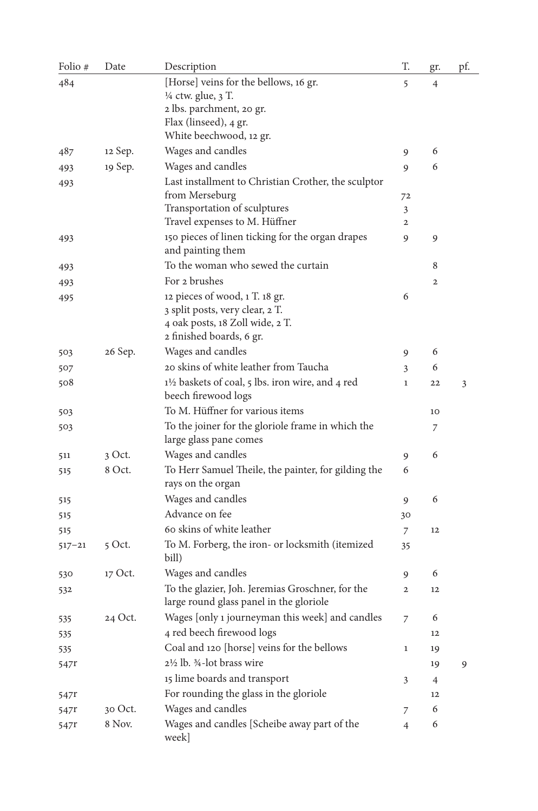| Folio #    | Date     | Description                                                              | T.                  | gr.            | pf. |
|------------|----------|--------------------------------------------------------------------------|---------------------|----------------|-----|
| 484        |          | [Horse] veins for the bellows, 16 gr.                                    | 5                   | 4              |     |
|            |          | 1/4 ctw. glue, 3 T.                                                      |                     |                |     |
|            |          | 2 lbs. parchment, 20 gr.                                                 |                     |                |     |
|            |          | Flax (linseed), 4 gr.                                                    |                     |                |     |
|            |          | White beechwood, 12 gr.                                                  |                     |                |     |
| 487        | 12 Sep.  | Wages and candles                                                        | 9                   | 6              |     |
| 493        | 19 Sep.  | Wages and candles                                                        | 9                   | 6              |     |
| 493        |          | Last installment to Christian Crother, the sculptor                      |                     |                |     |
|            |          | from Merseburg                                                           | 72                  |                |     |
|            |          | Transportation of sculptures<br>Travel expenses to M. Hüffner            | 3<br>$\overline{2}$ |                |     |
|            |          | 150 pieces of linen ticking for the organ drapes                         |                     |                |     |
| 493        |          | and painting them                                                        | 9                   | 9              |     |
| 493        |          | To the woman who sewed the curtain                                       |                     | 8              |     |
| 493        |          | For 2 brushes                                                            |                     | $\overline{2}$ |     |
| 495        |          | 12 pieces of wood, 1 T. 18 gr.                                           | 6                   |                |     |
|            |          | 3 split posts, very clear, 2 T.                                          |                     |                |     |
|            |          | 4 oak posts, 18 Zoll wide, 2 T.                                          |                     |                |     |
|            |          | 2 finished boards, 6 gr.                                                 |                     |                |     |
| 503        | 26 Sep.  | Wages and candles                                                        | 9                   | 6              |     |
| 507        |          | 20 skins of white leather from Taucha                                    | 3                   | 6              |     |
| 508        |          | 11/2 baskets of coal, 5 lbs. iron wire, and 4 red<br>beech firewood logs | $\mathbf{1}$        | 22             | 3   |
| 503        |          | To M. Hüffner for various items                                          |                     | 10             |     |
| 503        |          | To the joiner for the gloriole frame in which the                        |                     | 7              |     |
|            |          | large glass pane comes                                                   |                     |                |     |
| 511        | 3 Oct.   | Wages and candles                                                        | 9                   | 6              |     |
| 515        | 8 Oct.   | To Herr Samuel Theile, the painter, for gilding the<br>rays on the organ | 6                   |                |     |
| 515        |          | Wages and candles                                                        | 9                   | 6              |     |
| 515        |          | Advance on fee                                                           | 30                  |                |     |
| 515        |          | 60 skins of white leather                                                | 7                   | 12             |     |
| $517 - 21$ | $5$ Oct. | To M. Forberg, the iron- or locksmith (itemized                          | 35                  |                |     |
|            |          | bill)                                                                    |                     |                |     |
| 530        | 17 Oct.  | Wages and candles                                                        | 9                   | 6              |     |
| 532        |          | To the glazier, Joh. Jeremias Groschner, for the                         | $\mathbf{2}$        | 12             |     |
|            |          | large round glass panel in the gloriole                                  |                     |                |     |
| 535        | 24 Oct.  | Wages [only 1 journeyman this week] and candles                          | 7                   | 6              |     |
| 535        |          | 4 red beech firewood logs                                                |                     | 12             |     |
| 535        |          | Coal and 120 [horse] veins for the bellows                               | 1                   | 19             |     |
| 547r       |          | 2½ lb. ¾-lot brass wire                                                  |                     | 19             | 9   |
|            |          | 15 lime boards and transport                                             | 3                   | 4              |     |
| 547r       |          | For rounding the glass in the gloriole                                   |                     | 12             |     |
|            | 30 Oct.  | Wages and candles                                                        | 7                   | 6              |     |
| 547r       | 8 Nov.   | Wages and candles [Scheibe away part of the                              |                     | 6              |     |
| 547r       |          | week]                                                                    | $\overline{4}$      |                |     |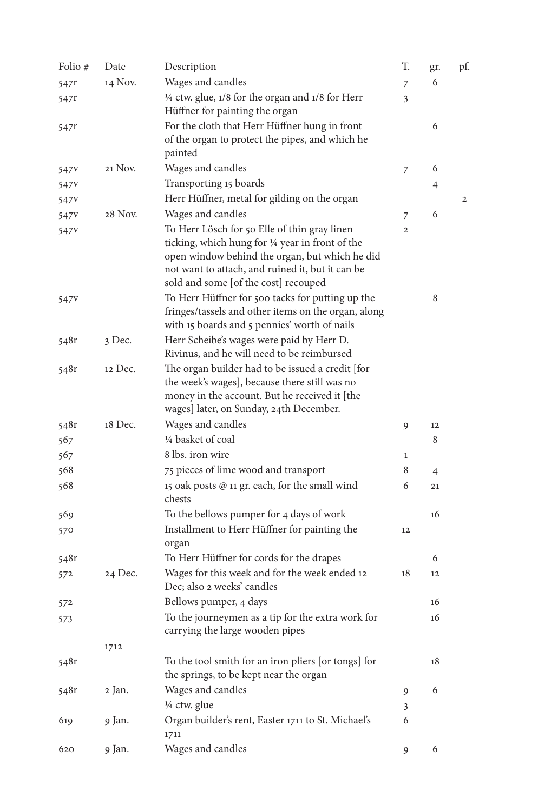| Folio #          | Date    | Description                                                                                                                                                                                                                                    | T.           | gr. | pf.            |
|------------------|---------|------------------------------------------------------------------------------------------------------------------------------------------------------------------------------------------------------------------------------------------------|--------------|-----|----------------|
| 547r             | 14 Nov. | Wages and candles                                                                                                                                                                                                                              | 7            | 6   |                |
| 547r             |         | 1/4 ctw. glue, 1/8 for the organ and 1/8 for Herr<br>Hüffner for painting the organ                                                                                                                                                            | 3            |     |                |
| 547r             |         | For the cloth that Herr Hüffner hung in front<br>of the organ to protect the pipes, and which he<br>painted                                                                                                                                    |              | 6   |                |
| 547y             | 21 Nov. | Wages and candles                                                                                                                                                                                                                              | 7            | 6   |                |
| 547v             |         | Transporting 15 boards                                                                                                                                                                                                                         |              | 4   |                |
| 547 <sub>V</sub> |         | Herr Hüffner, metal for gilding on the organ                                                                                                                                                                                                   |              |     | $\overline{2}$ |
| 547 <sub>V</sub> | 28 Nov. | Wages and candles                                                                                                                                                                                                                              | 7            | 6   |                |
| 547 <sub>V</sub> |         | To Herr Lösch for 50 Elle of thin gray linen<br>ticking, which hung for 1/4 year in front of the<br>open window behind the organ, but which he did<br>not want to attach, and ruined it, but it can be<br>sold and some [of the cost] recouped | 2            |     |                |
| 547v             |         | To Herr Hüffner for 500 tacks for putting up the<br>fringes/tassels and other items on the organ, along<br>with 15 boards and 5 pennies' worth of nails                                                                                        |              | 8   |                |
| 548r             | 3 Dec.  | Herr Scheibe's wages were paid by Herr D.<br>Rivinus, and he will need to be reimbursed                                                                                                                                                        |              |     |                |
| 548r             | 12 Dec. | The organ builder had to be issued a credit [for<br>the week's wages], because there still was no<br>money in the account. But he received it [the<br>wages] later, on Sunday, 24th December.                                                  |              |     |                |
| 548r             | 18 Dec. | Wages and candles                                                                                                                                                                                                                              | 9            | 12  |                |
| 567              |         | 1/4 basket of coal                                                                                                                                                                                                                             |              | 8   |                |
| 567              |         | 8 lbs. iron wire                                                                                                                                                                                                                               | $\mathbf{1}$ |     |                |
| 568              |         | 75 pieces of lime wood and transport                                                                                                                                                                                                           | 8            | 4   |                |
| 568              |         | 15 oak posts @ 11 gr. each, for the small wind<br>chests                                                                                                                                                                                       | 6            | 21  |                |
| 569              |         | To the bellows pumper for 4 days of work                                                                                                                                                                                                       |              | 16  |                |
| 570              |         | Installment to Herr Hüffner for painting the<br>organ                                                                                                                                                                                          | 12           |     |                |
| 548r             |         | To Herr Hüffner for cords for the drapes                                                                                                                                                                                                       |              | 6   |                |
| 572              | 24 Dec. | Wages for this week and for the week ended 12<br>Dec; also 2 weeks' candles                                                                                                                                                                    | 18           | 12  |                |
| 572              |         | Bellows pumper, 4 days                                                                                                                                                                                                                         |              | 16  |                |
| 573              |         | To the journeymen as a tip for the extra work for<br>carrying the large wooden pipes                                                                                                                                                           |              | 16  |                |
|                  | 1712    |                                                                                                                                                                                                                                                |              |     |                |
| 548r             |         | To the tool smith for an iron pliers [or tongs] for<br>the springs, to be kept near the organ                                                                                                                                                  |              | 18  |                |
| 548r             | 2 Jan.  | Wages and candles                                                                                                                                                                                                                              | 9            | 6   |                |
|                  |         | $\frac{1}{4}$ ctw. glue                                                                                                                                                                                                                        | 3            |     |                |
| 619              | 9 Jan.  | Organ builder's rent, Easter 1711 to St. Michael's<br>1711                                                                                                                                                                                     | 6            |     |                |
| 620              | 9 Jan.  | Wages and candles                                                                                                                                                                                                                              | 9            | 6   |                |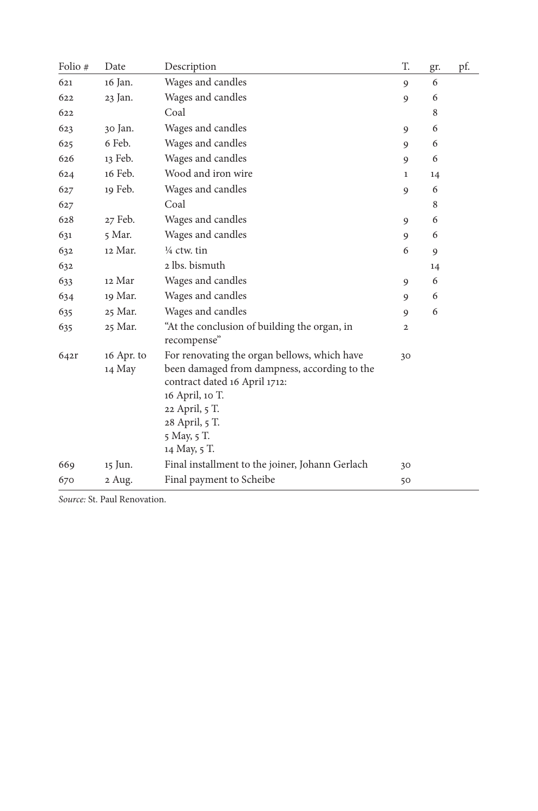| Folio # | Date                 | Description                                                                                                                                                                                                         | T.             | gr. | pf. |
|---------|----------------------|---------------------------------------------------------------------------------------------------------------------------------------------------------------------------------------------------------------------|----------------|-----|-----|
| 621     | 16 Jan.              | Wages and candles                                                                                                                                                                                                   | 9              | 6   |     |
| 622     | 23 Jan.              | Wages and candles                                                                                                                                                                                                   | 9              | 6   |     |
| 622     |                      | Coal                                                                                                                                                                                                                |                | 8   |     |
| 623     | 30 Jan.              | Wages and candles                                                                                                                                                                                                   | 9              | 6   |     |
| 625     | 6 Feb.               | Wages and candles                                                                                                                                                                                                   | 9              | 6   |     |
| 626     | 13 Feb.              | Wages and candles                                                                                                                                                                                                   | 9              | 6   |     |
| 624     | 16 Feb.              | Wood and iron wire                                                                                                                                                                                                  | 1              | 14  |     |
| 627     | 19 Feb.              | Wages and candles                                                                                                                                                                                                   | 9              | 6   |     |
| 627     |                      | Coal                                                                                                                                                                                                                |                | 8   |     |
| 628     | 27 Feb.              | Wages and candles                                                                                                                                                                                                   | 9              | 6   |     |
| 631     | 5 Mar.               | Wages and candles                                                                                                                                                                                                   | 9              | 6   |     |
| 632     | 12 Mar.              | $\frac{1}{4}$ ctw. tin                                                                                                                                                                                              | 6              | 9   |     |
| 632     |                      | 2 lbs. bismuth                                                                                                                                                                                                      |                | 14  |     |
| 633     | 12 Mar               | Wages and candles                                                                                                                                                                                                   | 9              | 6   |     |
| 634     | 19 Mar.              | Wages and candles                                                                                                                                                                                                   | 9              | 6   |     |
| 635     | 25 Mar.              | Wages and candles                                                                                                                                                                                                   | 9              | 6   |     |
| 635     | 25 Mar.              | "At the conclusion of building the organ, in<br>recompense"                                                                                                                                                         | $\overline{2}$ |     |     |
| 642r    | 16 Apr. to<br>14 May | For renovating the organ bellows, which have<br>been damaged from dampness, according to the<br>contract dated 16 April 1712:<br>16 April, 10 T.<br>22 April, 5 T.<br>28 April, 5 T.<br>5 May, 5 T.<br>14 May, 5 T. | 30             |     |     |
| 669     | 15 Jun.              | Final installment to the joiner, Johann Gerlach                                                                                                                                                                     | 30             |     |     |
| 670     | 2 Aug.               | Final payment to Scheibe                                                                                                                                                                                            | 50             |     |     |

*Source:* St. Paul Renovation.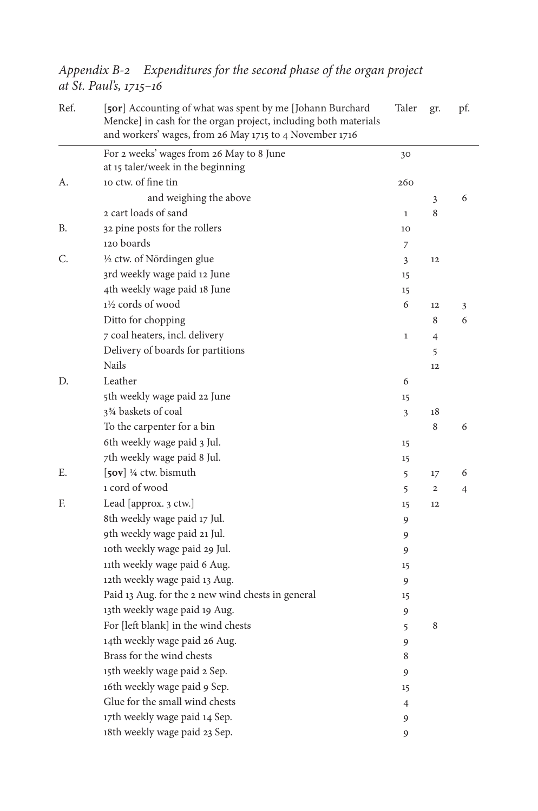Ref. [**50r**] Accounting of what was spent by me [Johann Burchard Mencke] in cash for the organ project, including both materials and workers' wages, from 26 May 1715 to 4 November 1716 Taler gr. pf. For 2 weeks' wages from 26 May to 8 June at 15 taler/week in the beginning 30 A. 10 ctw. of fine tin 260 and weighing the above 3 6 2 cart loads of sand 1 8 B. 32 pine posts for the rollers 10 120 boards 7 C.  $\frac{1}{2}$  ctw. of Nördingen glue  $\frac{3}{2}$  12 3rd weekly wage paid 12 June 15 4th weekly wage paid 18 June 15  $1\frac{1}{2}$  cords of wood 6 12 3 Ditto for chopping 8 6 7 coal heaters, incl. delivery 1 4 Delivery of boards for partitions 5 Nails and the set of the set of the set of the set of the set of the set of the set of the set of the set of the set of the set of the set of the set of the set of the set of the set of the set of the set of the set of the D. Leather 6 5th weekly wage paid 22 June 15  $3\frac{3}{4}$  baskets of coal  $3\frac{18}{3}$ To the carpenter for a bin 8 6 6th weekly wage paid 3 Jul. 15 7th weekly wage paid 8 Jul. 15 E. [**50v**] ¼ ctw. bismuth 5 17 6 1 cord of wood 5 2 4 F. Lead [approx. 3 ctw.] 15 12 8th weekly wage paid 17 Jul. 9 9th weekly wage paid 21 Jul. 9 10th weekly wage paid 29 Jul. 9 11th weekly wage paid 6 Aug. 15 12th weekly wage paid 13 Aug. 9 Paid 13 Aug. for the 2 new wind chests in general 15 13th weekly wage paid 19 Aug. For [left blank] in the wind chests 5 8 14th weekly wage paid 26 Aug. 9 Brass for the wind chests 8 15th weekly wage paid 2 Sep. 9 16th weekly wage paid 9 Sep. 15 Glue for the small wind chests 4 17th weekly wage paid 14 Sep. 9 18th weekly wage paid 23 Sep. 9

*Appendix B-2 Expenditures for the second phase of the organ project at St. Paul's, 1715–16*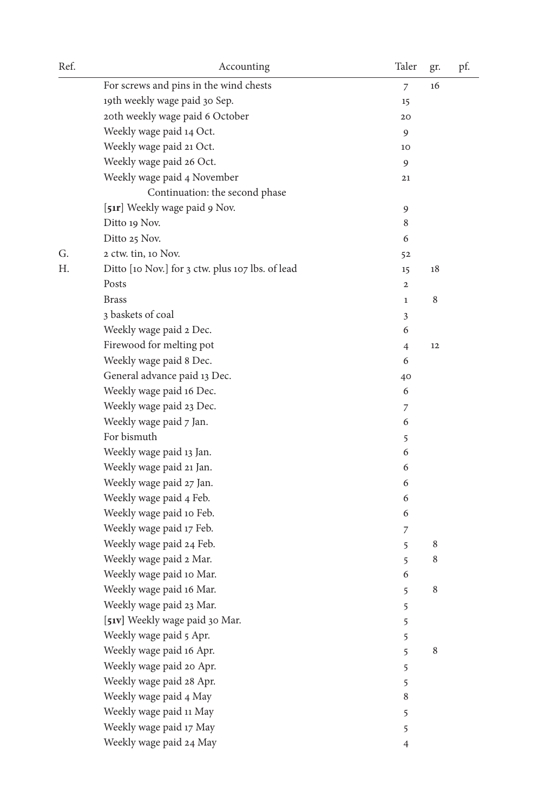| Ref. | Accounting                                       | Taler          | gr.     | pf. |
|------|--------------------------------------------------|----------------|---------|-----|
|      | For screws and pins in the wind chests           | 7              | 16      |     |
|      | 19th weekly wage paid 30 Sep.                    | 15             |         |     |
|      | 20th weekly wage paid 6 October                  | 20             |         |     |
|      | Weekly wage paid 14 Oct.                         | 9              |         |     |
|      | Weekly wage paid 21 Oct.                         | 10             |         |     |
|      | Weekly wage paid 26 Oct.                         | 9              |         |     |
|      | Weekly wage paid 4 November                      | 21             |         |     |
|      | Continuation: the second phase                   |                |         |     |
|      | [51r] Weekly wage paid 9 Nov.                    | 9              |         |     |
|      | Ditto 19 Nov.                                    | 8              |         |     |
|      | Ditto 25 Nov.                                    | 6              |         |     |
| G.   | 2 ctw. tin, 10 Nov.                              | 52             |         |     |
| Н.   | Ditto [10 Nov.] for 3 ctw. plus 107 lbs. of lead | 15             | 18      |     |
|      | Posts                                            | $\mathbf 2$    |         |     |
|      | <b>Brass</b>                                     | $\mathbf{1}$   | $\,8\,$ |     |
|      | 3 baskets of coal                                | 3              |         |     |
|      | Weekly wage paid 2 Dec.                          | 6              |         |     |
|      | Firewood for melting pot                         | $\overline{4}$ | 12      |     |
|      | Weekly wage paid 8 Dec.                          | 6              |         |     |
|      | General advance paid 13 Dec.                     | 40             |         |     |
|      | Weekly wage paid 16 Dec.                         | 6              |         |     |
|      | Weekly wage paid 23 Dec.                         | 7              |         |     |
|      | Weekly wage paid 7 Jan.                          | 6              |         |     |
|      | For bismuth                                      | 5              |         |     |
|      | Weekly wage paid 13 Jan.                         | 6              |         |     |
|      | Weekly wage paid 21 Jan.                         | 6              |         |     |
|      | Weekly wage paid 27 Jan.                         | 6              |         |     |
|      | Weekly wage paid 4 Feb.                          | 6              |         |     |
|      | Weekly wage paid 10 Feb.                         | 6              |         |     |
|      | Weekly wage paid 17 Feb.                         | 7              |         |     |
|      | Weekly wage paid 24 Feb.                         | 5              | 8       |     |
|      | Weekly wage paid 2 Mar.                          | 5              | 8       |     |
|      | Weekly wage paid 10 Mar.                         | 6              |         |     |
|      | Weekly wage paid 16 Mar.                         | 5              | 8       |     |
|      | Weekly wage paid 23 Mar.                         | 5              |         |     |
|      | [51v] Weekly wage paid 30 Mar.                   | 5              |         |     |
|      | Weekly wage paid 5 Apr.                          | 5              |         |     |
|      | Weekly wage paid 16 Apr.                         | 5              | $\,8\,$ |     |
|      | Weekly wage paid 20 Apr.                         | 5              |         |     |
|      | Weekly wage paid 28 Apr.                         | 5              |         |     |
|      | Weekly wage paid 4 May                           | $\,$ 8 $\,$    |         |     |
|      | Weekly wage paid 11 May                          | 5              |         |     |
|      | Weekly wage paid 17 May                          | 5              |         |     |
|      | Weekly wage paid 24 May                          | $\overline{4}$ |         |     |